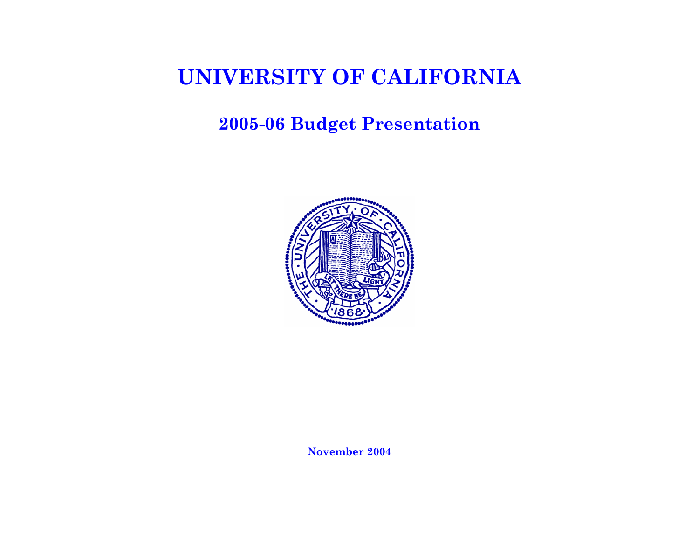## **2005-06 Budget Presentation**

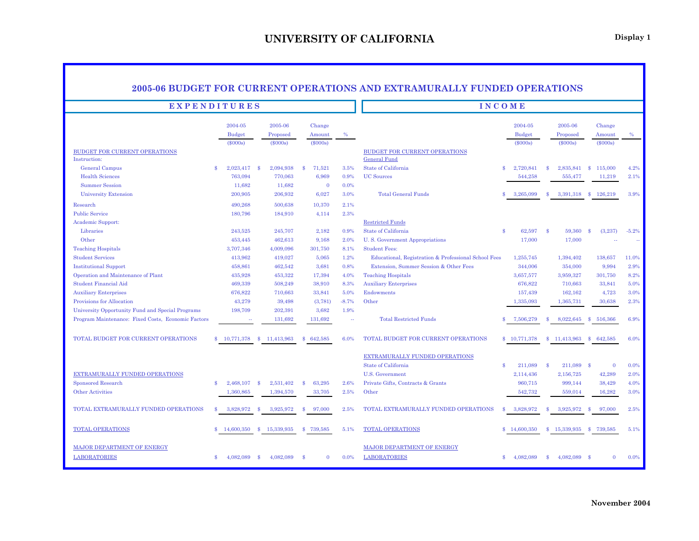|                                                                                                        |                                       |                               | 2005-06 BUDGET FOR CURRENT OPERATIONS AND EXTRAMURALLY FUNDED OPERATIONS |                      |                                                                                                     |              |                                 |               |                                 |              |                            |                      |
|--------------------------------------------------------------------------------------------------------|---------------------------------------|-------------------------------|--------------------------------------------------------------------------|----------------------|-----------------------------------------------------------------------------------------------------|--------------|---------------------------------|---------------|---------------------------------|--------------|----------------------------|----------------------|
|                                                                                                        | <b>EXPENDITURES</b>                   | <b>INCOME</b>                 |                                                                          |                      |                                                                                                     |              |                                 |               |                                 |              |                            |                      |
|                                                                                                        | 2004-05<br><b>Budget</b>              | 2005-06<br>Proposed           | Change<br>Amount                                                         | $\%$                 |                                                                                                     |              | 2004-05<br><b>Budget</b>        |               | 2005-06<br>Proposed             |              | Change<br>Amount           | $\%$                 |
| <b>BUDGET FOR CURRENT OPERATIONS</b><br>Instruction:                                                   | $(\$000s)$                            | $(\$000s)$                    | $(\$000s)$                                                               |                      | <b>BUDGET FOR CURRENT OPERATIONS</b><br>General Fund                                                |              | $(\$000s)$                      |               | $(\$000s)$                      |              | $(\$000s)$                 |                      |
| General Campus<br><b>Health Sciences</b>                                                               | 2,023,417<br>$\mathbf{\$}$<br>763,094 | 2,094,938<br>-8<br>770,063    | 71,521<br>$\mathbf{s}$<br>6,969                                          | 3.5%<br>0.9%         | State of California<br><b>UC</b> Sources                                                            | \$           | 2,720,841<br>544,258            | -8            | 2,835,841<br>555,477            | $\mathbf{s}$ | 115,000<br>11,219          | 4.2%<br>2.1%         |
| <b>Summer Session</b><br><b>University Extension</b>                                                   | 11,682<br>200,905                     | 11,682<br>206,932             | $\overline{0}$<br>6,027                                                  | 0.0%<br>3.0%<br>2.1% | <b>Total General Funds</b>                                                                          | S            | 3,265,099                       | \$            | 3,391,318                       | -8           | 126,219                    | 3.9%                 |
| Research<br><b>Public Service</b><br>Academic Support:                                                 | 490,268<br>180,796                    | 500,638<br>184,910            | 10,370<br>4,114                                                          | 2.3%                 | <b>Restricted Funds</b>                                                                             |              |                                 |               |                                 |              |                            |                      |
| Libraries<br>Other                                                                                     | 243,525<br>453,445                    | 245,707<br>462,613            | 2,182<br>9,168                                                           | 0.9%<br>2.0%         | State of California<br>U.S. Government Appropriations                                               | $\mathbf{s}$ | 62,597<br>17,000                | -\$           | 59,360<br>17,000                | -8           | (3,237)                    | $-5.2%$              |
| <b>Teaching Hospitals</b><br><b>Student Services</b>                                                   | 3,707,346<br>413,962                  | 4,009,096<br>419,027          | 301,750<br>5,065                                                         | 8.1%<br>1.2%         | <b>Student Fees:</b><br>Educational, Registration & Professional School Fees                        |              | 1,255,745                       |               | 1,394,402                       |              | 138,657                    | 11.0%                |
| <b>Institutional Support</b><br>Operation and Maintenance of Plant<br><b>Student Financial Aid</b>     | 458,861<br>435,928<br>469,339         | 462,542<br>453,322<br>508,249 | 3,681<br>17,394<br>38,910                                                | 0.8%<br>4.0%<br>8.3% | Extension, Summer Session & Other Fees<br><b>Teaching Hospitals</b><br><b>Auxiliary Enterprises</b> |              | 344,006<br>3,657,577<br>676,822 |               | 354,000<br>3,959,327<br>710,663 |              | 9,994<br>301,750<br>33,841 | 2.9%<br>8.2%<br>5.0% |
| <b>Auxiliary Enterprises</b><br>Provisions for Allocation                                              | 676,822<br>43,279                     | 710,663<br>39,498             | 33,841<br>(3, 781)                                                       | 5.0%<br>$-8.7%$      | <b>Endowments</b><br>Other                                                                          |              | 157,439<br>1,335,093            |               | 162,162<br>1,365,731            |              | 4,723<br>30,638            | 3.0%<br>2.3%         |
| University Opportunity Fund and Special Programs<br>Program Maintenance: Fixed Costs, Economic Factors | 198,709                               | 202,391<br>131,692            | 3,682<br>131,692                                                         | 1.9%<br>$\sim$       | <b>Total Restricted Funds</b>                                                                       |              | 7,506,279                       |               | 8,022,645                       | -8           | 516,366                    | 6.9%                 |
| TOTAL BUDGET FOR CURRENT OPERATIONS                                                                    | \$10,771,378                          | <sup>\$</sup><br>11.413.963   | $\mathbf{s}$<br>642.585                                                  | 6.0%                 | TOTAL BUDGET FOR CURRENT OPERATIONS                                                                 |              | \$10,771,378                    | \$            | 11.413.963                      | $\mathbf{s}$ | 642.585                    | 6.0%                 |
|                                                                                                        |                                       |                               |                                                                          |                      | EXTRAMURALLY FUNDED OPERATIONS<br>State of California                                               | \$           | 211,089                         | $\mathbf{s}$  | 211,089                         | - \$         | $\bf{0}$                   | 0.0%                 |
| EXTRAMURALLY FUNDED OPERATIONS<br>Sponsored Research                                                   | \$<br>2,468,107                       | - \$<br>2,531,402             | 63,295<br>$\mathbf{\$}$                                                  | 2.6%                 | U.S. Government<br>Private Gifts, Contracts & Grants                                                |              | 2,114,436<br>960,715            |               | 2,156,725<br>999,144            |              | 42,289<br>38,429           | 2.0%<br>4.0%         |
| Other Activities                                                                                       | 1,360,865                             | 1,394,570                     | 33,705                                                                   | 2.5%                 | Other                                                                                               |              | 542,732                         |               | 559,014                         |              | 16,282                     | 3.0%                 |
| TOTAL EXTRAMURALLY FUNDED OPERATIONS                                                                   | \$<br>3,828,972                       | 3,925,972<br>-SS              | $\mathbf{\$}$<br>97,000                                                  | 2.5%                 | TOTAL EXTRAMURALLY FUNDED OPERATIONS                                                                | \$           | 3,828,972                       | \$            | 3,925,972                       | -8           | 97,000                     | 2.5%                 |
| <b>TOTAL OPERATIONS</b>                                                                                | 14,600,350<br>\$.                     | 15,339,935<br>$\mathbf{s}$    | 739,585<br><sup>S</sup>                                                  | 5.1%                 | <b>TOTAL OPERATIONS</b>                                                                             |              | \$14,600,350                    | <sup>\$</sup> | 15,339,935                      | $\mathbf{s}$ | 739,585                    | 5.1%                 |
| <b>MAJOR DEPARTMENT OF ENERGY</b>                                                                      |                                       |                               |                                                                          |                      | <b>MAJOR DEPARTMENT OF ENERGY</b>                                                                   |              |                                 |               |                                 |              |                            |                      |
| <b>LABORATORIES</b>                                                                                    | 4,082,089<br>\$                       | 4,082,089<br>- \$             | -8<br>$\Omega$                                                           | 0.0%                 | <b>LABORATORIES</b>                                                                                 | \$           | 4,082,089                       | $\mathbf{s}$  | 4,082,089 \$                    |              | $\mathbf{0}$               | 0.0%                 |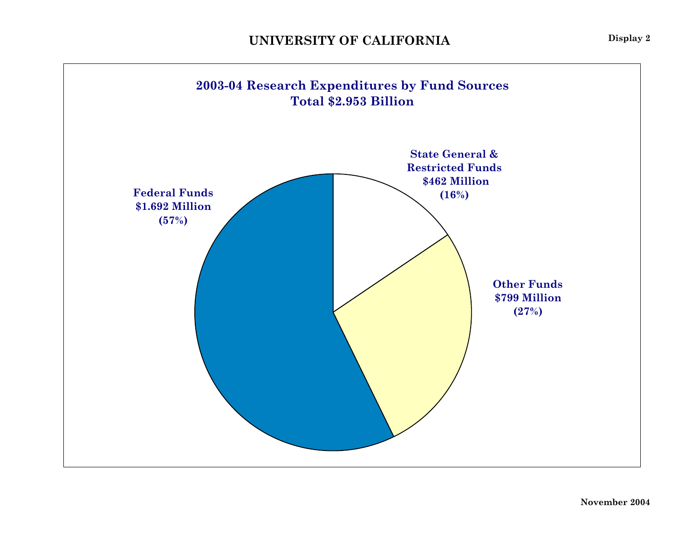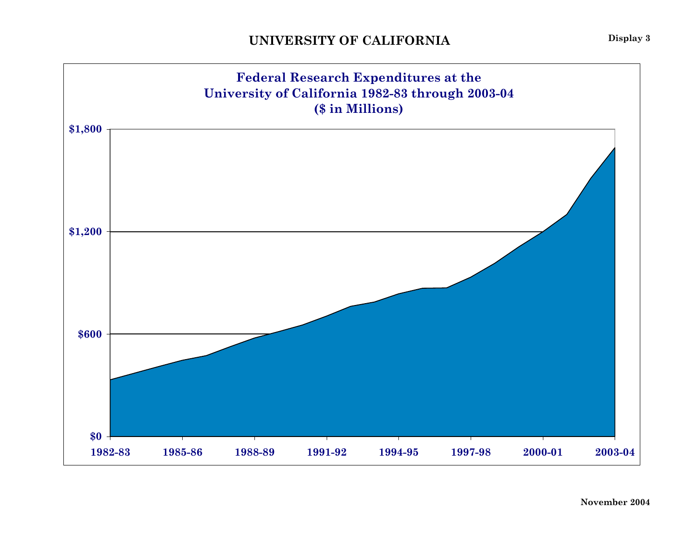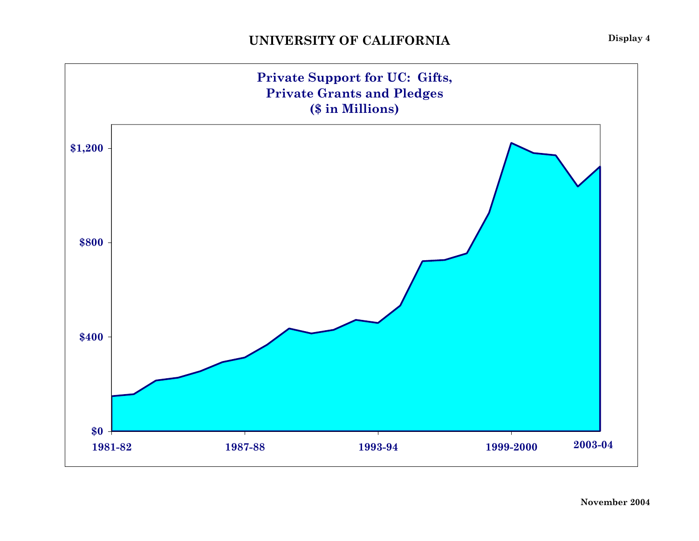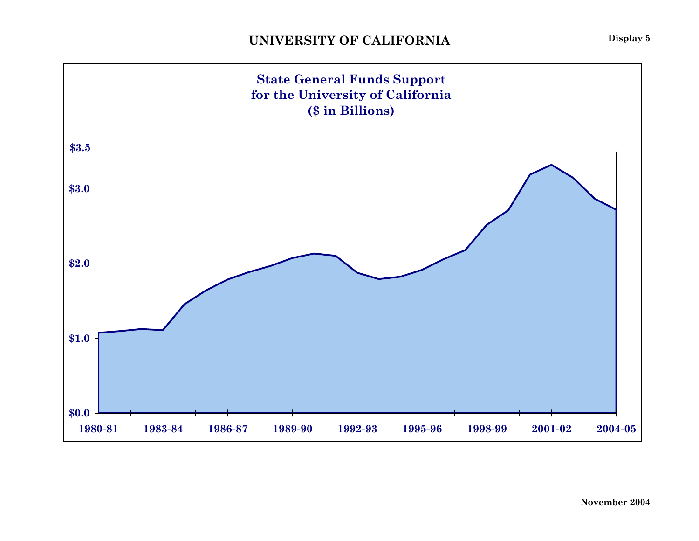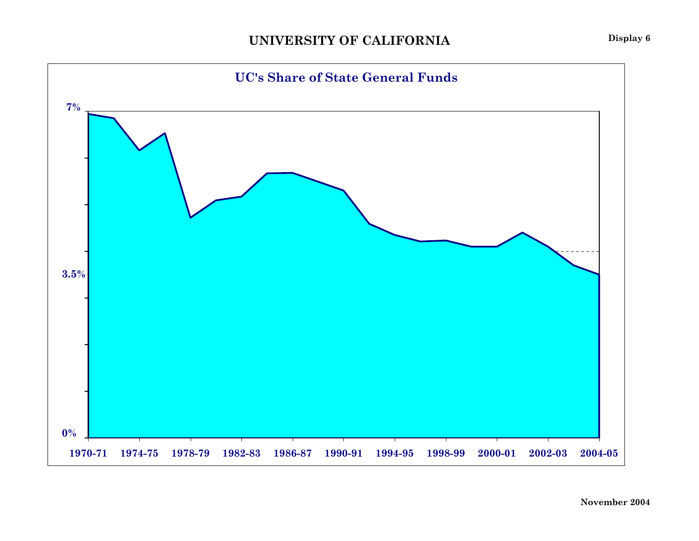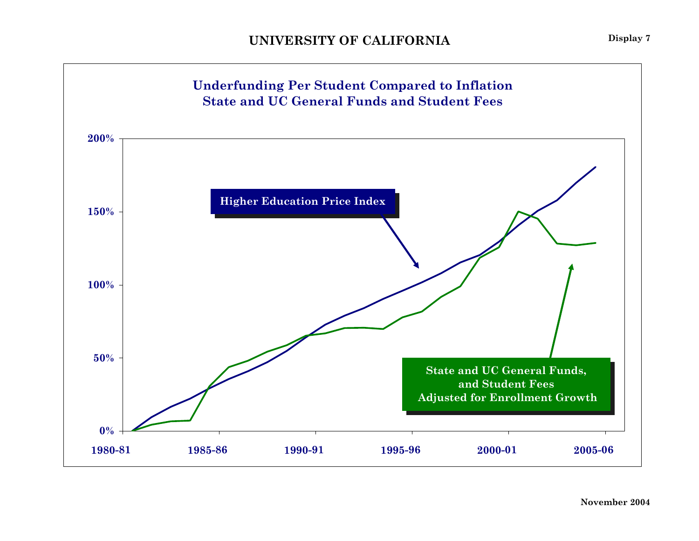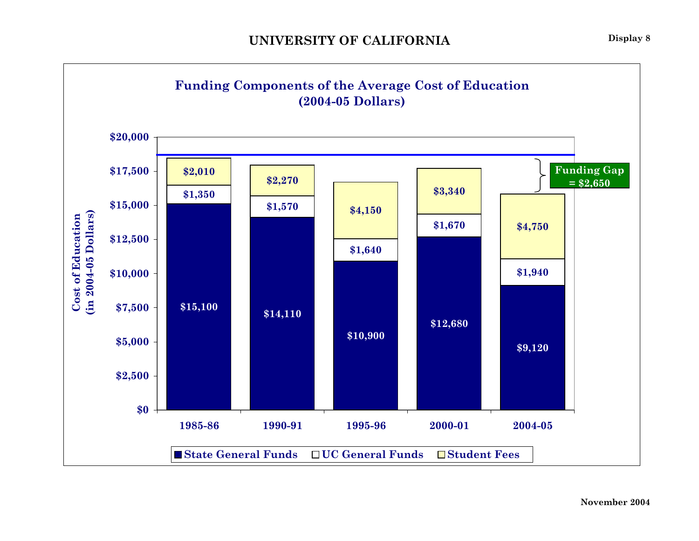![](_page_8_Figure_1.jpeg)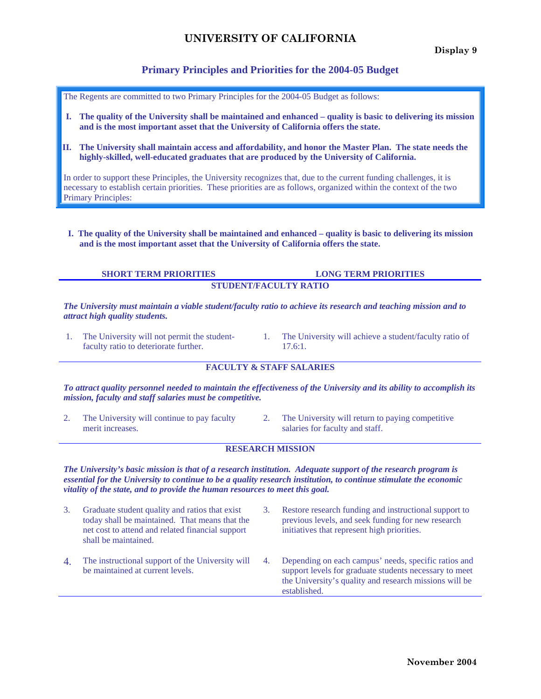#### **Primary Principles and Priorities for the 2004-05 Budget**

The Regents are committed to two Primary Principles for the 2004-05 Budget as follows:

- **I. The quality of the University shall be maintained and enhanced quality is basic to delivering its mission and is the most important asset that the University of California offers the state.**
- **II. The University shall maintain access and affordability, and honor the Master Plan. The state needs the highly-skilled, well-educated graduates that are produced by the University of California.**

In order to support these Principles, the University recognizes that, due to the current funding challenges, it is necessary to establish certain priorities. These priorities are as follows, organized within the context of the two Primary Principles:

 **I. The quality of the University shall be maintained and enhanced – quality is basic to delivering its mission and is the most important asset that the University of California offers the state.** 

#### **SHORT TERM PRIORITIES LONG TERM PRIORITIES STUDENT/FACULTY RATIO**

*The University must maintain a viable student/faculty ratio to achieve its research and teaching mission and to attract high quality students.* 

- 1. The University will not permit the studentfaculty ratio to deteriorate further.
- 1. The University will achieve a student/faculty ratio of 17.6:1.

#### **FACULTY & STAFF SALARIES**

*To attract quality personnel needed to maintain the effectiveness of the University and its ability to accomplish its mission, faculty and staff salaries must be competitive.* 

- 2. The University will continue to pay faculty merit increases.
- 2. The University will return to paying competitive salaries for faculty and staff.

#### **RESEARCH MISSION**

*The University's basic mission is that of a research institution. Adequate support of the research program is essential for the University to continue to be a quality research institution, to continue stimulate the economic vitality of the state, and to provide the human resources to meet this goal.* 

- 3. Graduate student quality and ratios that exist today shall be maintained. That means that the net cost to attend and related financial support shall be maintained.
- 4. The instructional support of the University will be maintained at current levels.
- 3. Restore research funding and instructional support to previous levels, and seek funding for new research initiatives that represent high priorities.
- 4. Depending on each campus' needs, specific ratios and support levels for graduate students necessary to meet the University's quality and research missions will be established.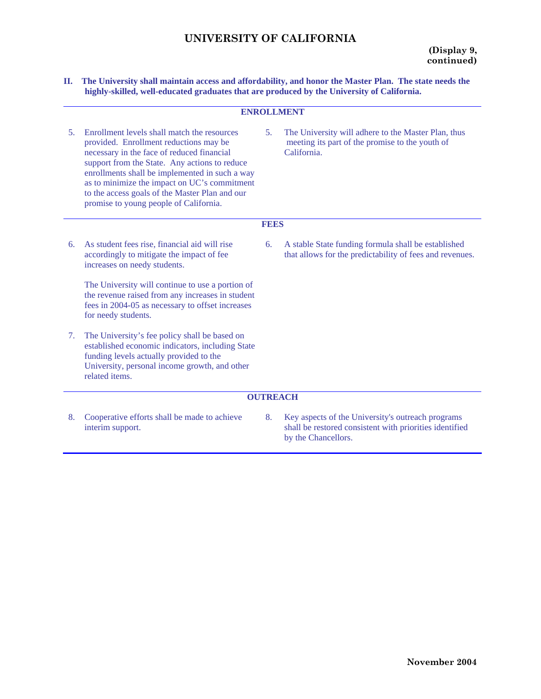**II. The University shall maintain access and affordability, and honor the Master Plan. The state needs the highly-skilled, well-educated graduates that are produced by the University of California.** 

| <b>ENROLLMENT</b>                                                                                                                                                                                                                                                                                                                                                                  |             |                                                                                                                                     |  |  |  |  |  |  |  |  |
|------------------------------------------------------------------------------------------------------------------------------------------------------------------------------------------------------------------------------------------------------------------------------------------------------------------------------------------------------------------------------------|-------------|-------------------------------------------------------------------------------------------------------------------------------------|--|--|--|--|--|--|--|--|
| Enrollment levels shall match the resources<br>provided. Enrollment reductions may be<br>necessary in the face of reduced financial<br>support from the State. Any actions to reduce<br>enrollments shall be implemented in such a way<br>as to minimize the impact on UC's commitment<br>to the access goals of the Master Plan and our<br>promise to young people of California. | 5.          | The University will adhere to the Master Plan, thus<br>meeting its part of the promise to the youth of<br>California.               |  |  |  |  |  |  |  |  |
|                                                                                                                                                                                                                                                                                                                                                                                    | <b>FEES</b> |                                                                                                                                     |  |  |  |  |  |  |  |  |
| As student fees rise, financial aid will rise<br>accordingly to mitigate the impact of fee<br>increases on needy students.                                                                                                                                                                                                                                                         | 6.          | A stable State funding formula shall be established<br>that allows for the predictability of fees and revenues.                     |  |  |  |  |  |  |  |  |
| The University will continue to use a portion of<br>the revenue raised from any increases in student<br>fees in 2004-05 as necessary to offset increases<br>for needy students.                                                                                                                                                                                                    |             |                                                                                                                                     |  |  |  |  |  |  |  |  |
| The University's fee policy shall be based on<br>established economic indicators, including State<br>funding levels actually provided to the<br>University, personal income growth, and other<br>related items.                                                                                                                                                                    |             |                                                                                                                                     |  |  |  |  |  |  |  |  |
|                                                                                                                                                                                                                                                                                                                                                                                    |             |                                                                                                                                     |  |  |  |  |  |  |  |  |
| Cooperative efforts shall be made to achieve<br>interim support.                                                                                                                                                                                                                                                                                                                   | 8.          | Key aspects of the University's outreach programs<br>shall be restored consistent with priorities identified<br>by the Chancellors. |  |  |  |  |  |  |  |  |
|                                                                                                                                                                                                                                                                                                                                                                                    |             | <b>OUTREACH</b>                                                                                                                     |  |  |  |  |  |  |  |  |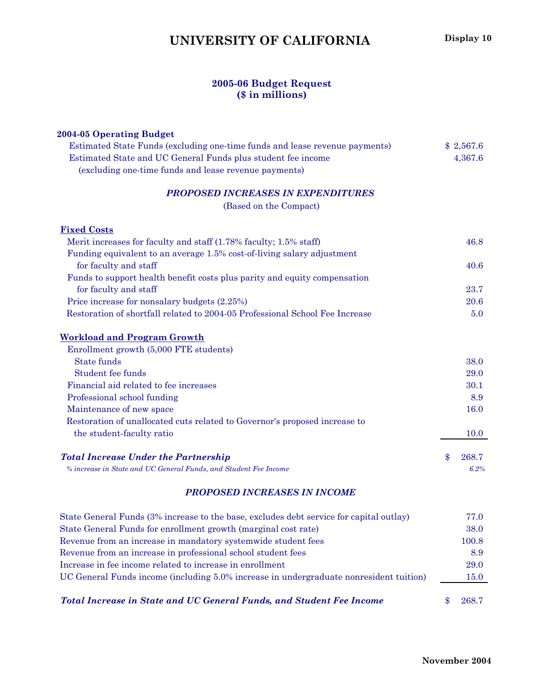## **UNIVERSITY OF CALIFORNIA** Display 10

#### **2005-06 Budget Request (\$ in millions)**

| 2004-05 Operating Budget                                                                |             |
|-----------------------------------------------------------------------------------------|-------------|
| Estimated State Funds (excluding one-time funds and lease revenue payments)             | \$2,567.6   |
| Estimated State and UC General Funds plus student fee income                            | 4,367.6     |
| (excluding one-time funds and lease revenue payments)                                   |             |
| <b>PROPOSED INCREASES IN EXPENDITURES</b>                                               |             |
| (Based on the Compact)                                                                  |             |
| <b>Fixed Costs</b>                                                                      |             |
| Merit increases for faculty and staff (1.78% faculty; 1.5% staff)                       | 46.8        |
| Funding equivalent to an average 1.5% cost-of-living salary adjustment                  |             |
| for faculty and staff                                                                   | 40.6        |
| Funds to support health benefit costs plus parity and equity compensation               |             |
| for faculty and staff                                                                   | 23.7        |
| Price increase for nonsalary budgets (2.25%)                                            | 20.6        |
| Restoration of shortfall related to 2004-05 Professional School Fee Increase            | 5.0         |
| <b>Workload and Program Growth</b>                                                      |             |
| Enrollment growth (5,000 FTE students)                                                  |             |
| <b>State funds</b>                                                                      | 38.0        |
| Student fee funds                                                                       | 29.0        |
| Financial aid related to fee increases                                                  | 30.1        |
| Professional school funding                                                             | 8.9         |
| Maintenance of new space                                                                | 16.0        |
| Restoration of unallocated cuts related to Governor's proposed increase to              |             |
| the student-faculty ratio                                                               | <b>10.0</b> |
| <b>Total Increase Under the Partnership</b>                                             | \$<br>268.7 |
| % increase in State and UC General Funds, and Student Fee Income                        | 6.2%        |
| <b>PROPOSED INCREASES IN INCOME</b>                                                     |             |
| State General Funds (3% increase to the base, excludes debt service for capital outlay) | 77.0        |
| State General Funds for enrollment growth (marginal cost rate)                          | 38.0        |
| Revenue from an increase in mandatory systemwide student fees                           | 100.8       |
| Revenue from an increase in professional school student fees                            | 8.9         |
| Increase in fee income related to increase in enrollment                                | 29.0        |
| UC General Funds income (including 5.0% increase in undergraduate nonresident tuition)  | <b>15.0</b> |
| Total Increase in State and UC General Funds, and Student Fee Income                    | \$<br>268.7 |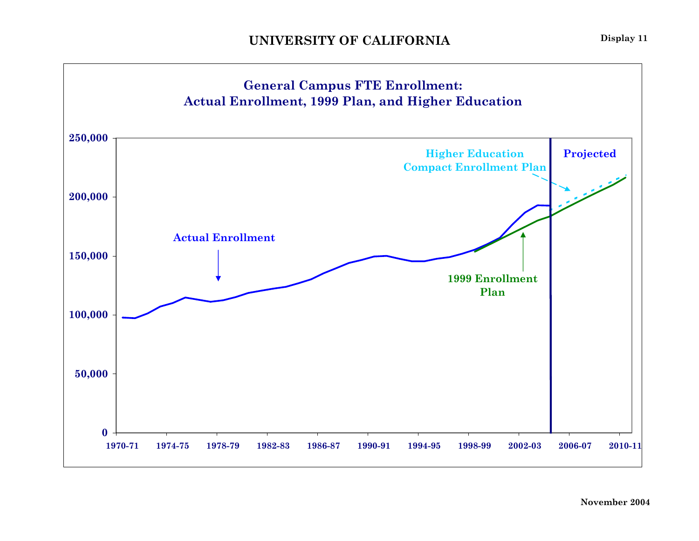![](_page_12_Figure_2.jpeg)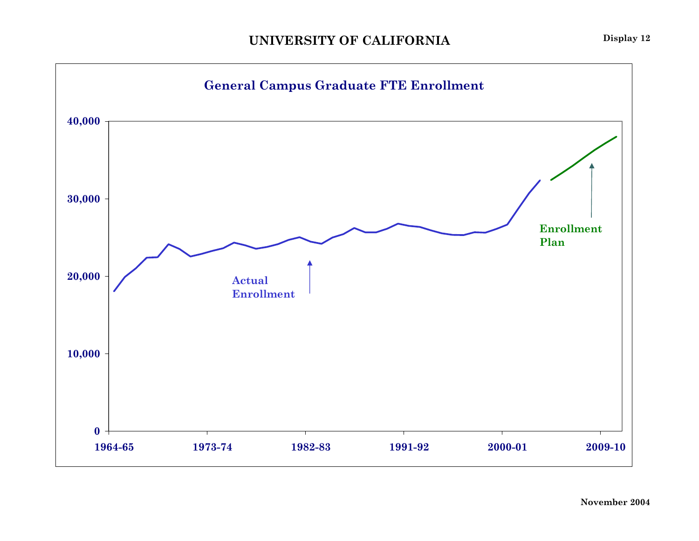![](_page_13_Figure_1.jpeg)

![](_page_13_Figure_2.jpeg)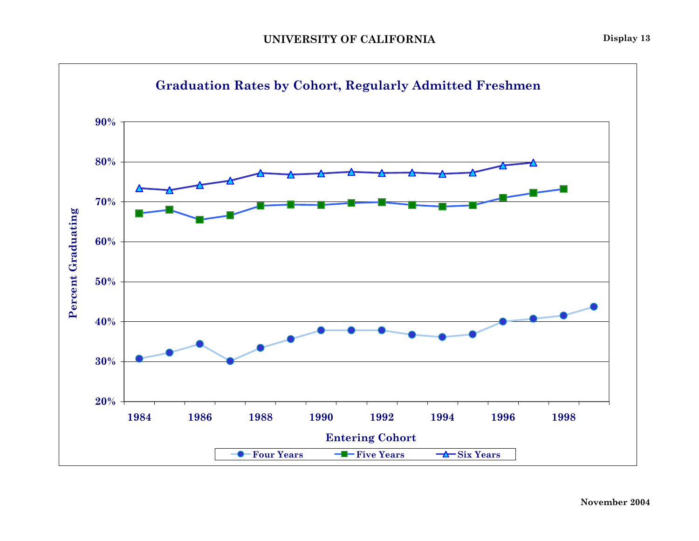![](_page_14_Figure_1.jpeg)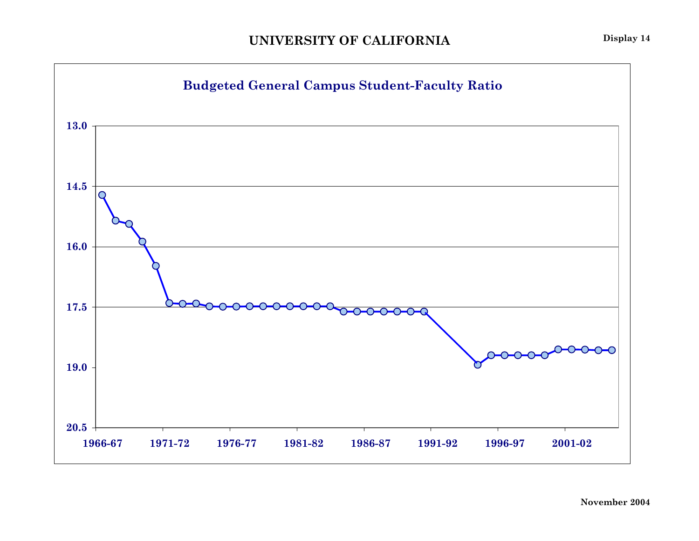![](_page_15_Figure_1.jpeg)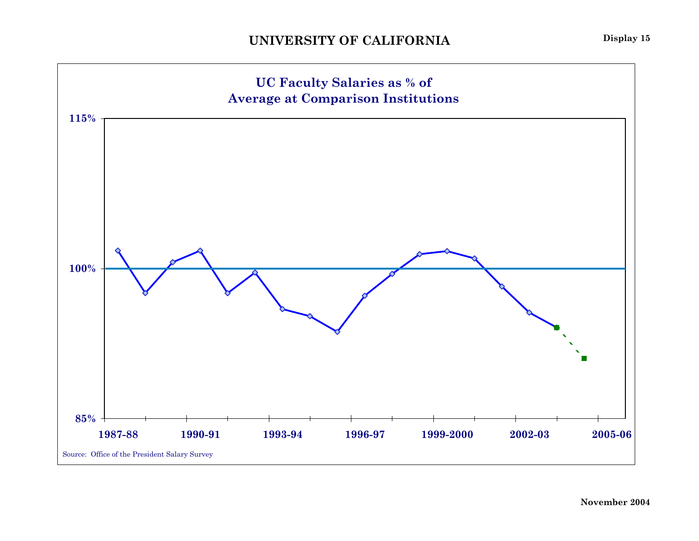![](_page_16_Figure_1.jpeg)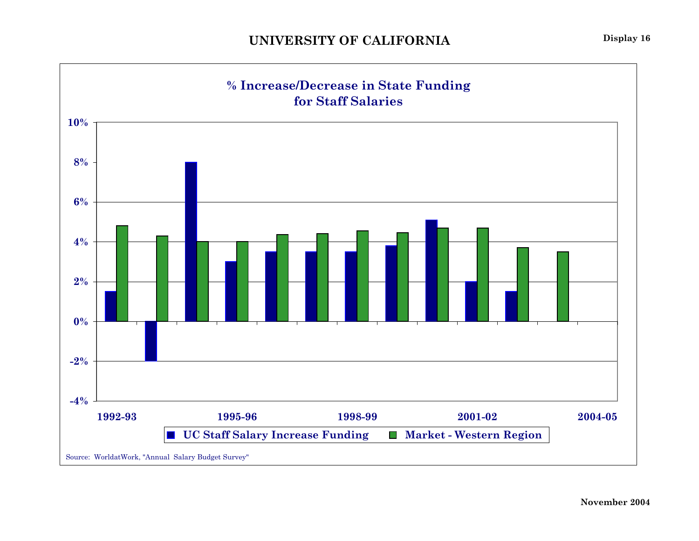![](_page_17_Figure_1.jpeg)

**Display 16**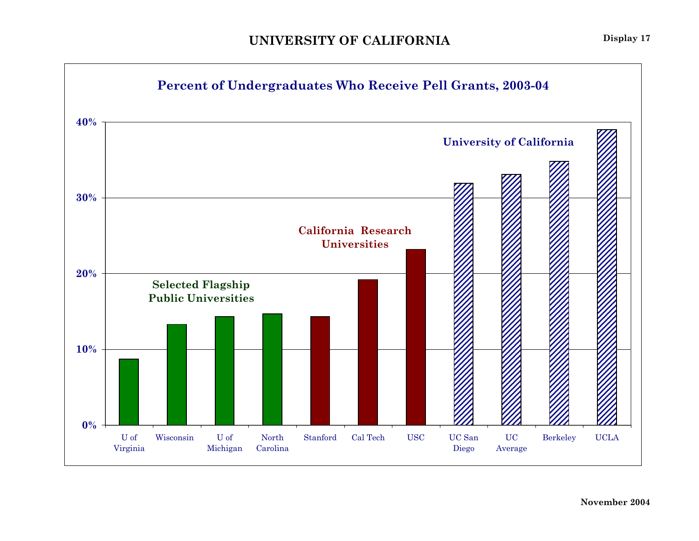![](_page_18_Figure_1.jpeg)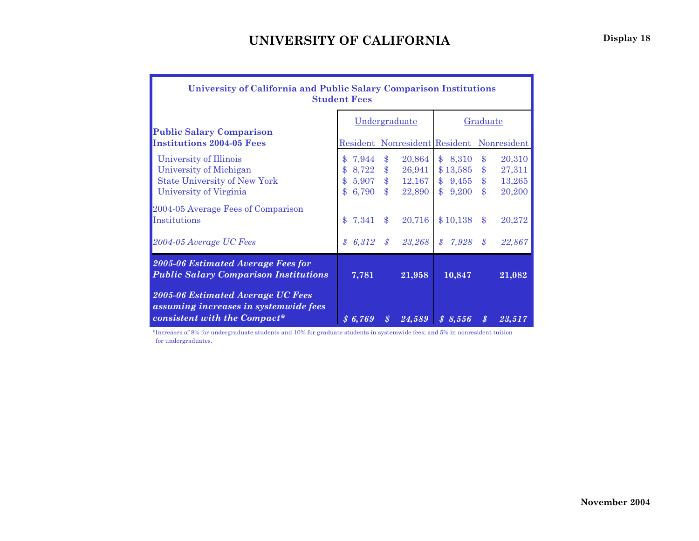| University of California and Public Salary Comparison Institutions<br><b>Student Fees</b>                  |                          |                  |                        |                                           |               |                        |                                |                  |  |  |
|------------------------------------------------------------------------------------------------------------|--------------------------|------------------|------------------------|-------------------------------------------|---------------|------------------------|--------------------------------|------------------|--|--|
|                                                                                                            | Undergraduate            |                  |                        |                                           |               | Graduate               |                                |                  |  |  |
| <b>Public Salary Comparison</b><br><b>Institutions 2004-05 Fees</b>                                        |                          |                  |                        | Resident Nonresident Resident Nonresident |               |                        |                                |                  |  |  |
| University of Illinois<br>University of Michigan                                                           | \$7,944<br>$\mathbf{\$}$ | $8{,}722$        | $\$\$<br>$\$\$         | 20,864<br>26,941                          |               | \$8,310<br>\$13,585    | $\frac{1}{2}$<br>$\frac{3}{2}$ | 20,310<br>27,311 |  |  |
| <b>State University of New York</b><br>University of Virginia                                              |                          | 5,907<br>\$6,790 | $\$\$<br>$\mathbf{\$}$ | 12,167<br>22,890                          |               | $$9,455$ \$<br>\$9,200 | $\mathbf{s}$                   | 13,265<br>20,200 |  |  |
| 2004-05 Average Fees of Comparison<br>Institutions                                                         | $\mathbf{\$}$            | 7,341            | $\mathbf{\$}$          | 20,716                                    |               | \$10,138               | $\$\$                          | 20,272           |  |  |
| 2004-05 Average UC Fees                                                                                    | $\mathcal{S}$            | 6,312            | $\mathcal{S}$          | 23,268                                    | $\mathcal{S}$ | 7,928                  | $\mathcal{S}$                  | 22,867           |  |  |
| 2005-06 Estimated Average Fees for<br><b>Public Salary Comparison Institutions</b>                         |                          | 7,781            |                        | 21,958                                    |               | 10,847                 |                                | 21,082           |  |  |
| 2005-06 Estimated Average UC Fees<br>assuming increases in systemwide fees<br>consistent with the Compact* | 86,769                   |                  | $\boldsymbol{s}$       | 24,589                                    |               | \$8,556                | $\boldsymbol{s}$               | 23,517           |  |  |

\*Increases of 8% for undergraduate students and 10% for graduate students in systemwide fees; and 5% in nonresident tuition for undergraduates.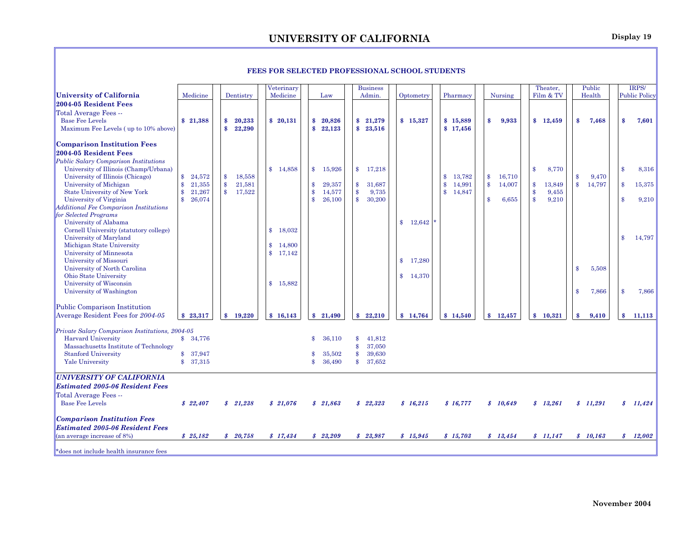|                                                                                                                                                                                                                                                           |                                                             |                                                                    |                                              | on Selected I noi essional school s                                        |                                                                           |           |                                                                  |                              |                                                       |                                  |                                        |
|-----------------------------------------------------------------------------------------------------------------------------------------------------------------------------------------------------------------------------------------------------------|-------------------------------------------------------------|--------------------------------------------------------------------|----------------------------------------------|----------------------------------------------------------------------------|---------------------------------------------------------------------------|-----------|------------------------------------------------------------------|------------------------------|-------------------------------------------------------|----------------------------------|----------------------------------------|
| <b>University of California</b>                                                                                                                                                                                                                           | Medicine                                                    | Dentistry                                                          | Veterinary<br>Medicine                       | Law                                                                        | <b>Business</b><br>Admin.                                                 | Optometry | Pharmacy                                                         | Nursing                      | Theater,<br>Film & TV                                 | Public<br>Health                 | IRPS/<br><b>Public Policy</b>          |
| 2004-05 Resident Fees                                                                                                                                                                                                                                     |                                                             |                                                                    |                                              |                                                                            |                                                                           |           |                                                                  |                              |                                                       |                                  |                                        |
| Total Average Fees --<br><b>Base Fee Levels</b><br>Maximum Fee Levels (up to 10% above)                                                                                                                                                                   | \$21,388                                                    | \$<br>20,233<br>22,290<br>$\mathbf{s}$                             | \$20,131                                     | \$<br>20,826<br>$\mathbf{s}$<br>22,123                                     | \$21,279<br>\$23,516                                                      | \$15,327  | \$15,889<br>\$17,456                                             | 9,933<br>$\mathbf{\$}$       | \$12,459                                              | \$<br>7,468                      | \$<br>7,601                            |
| <b>Comparison Institution Fees</b><br>2004-05 Resident Fees<br><b>Public Salary Comparison Institutions</b><br>University of Illinois (Champ/Urbana)<br>University of Illinois (Chicago)<br>University of Michigan<br><b>State University of New York</b> | $\frac{1}{2}$<br>24,572<br>\$<br>21,355<br>\$<br>21,267     | \$<br>18,558<br>$\frac{3}{2}$<br>21,581<br>$\mathbf{\$}$<br>17,522 | 14,858<br>$\mathbf{s}$                       | $\mathbf{\$}$<br>15,926<br>29,357<br>\$<br>\$<br>14,577                    | $\mathbf{\$}$<br>17,218<br>\$<br>31,687<br>$\frac{3}{2}$<br>9,735         |           | 13,782<br>$\mathbf{s}$<br>14,991<br>\$<br>$\mathbf{s}$<br>14,847 | 16,710<br>\$<br>\$<br>14,007 | 8,770<br>\$<br>$\frac{3}{2}$<br>13,849<br>\$<br>9,455 | 9,470<br>14,797<br>$\frac{3}{2}$ | $\mathbf{\$}$<br>8,316<br>\$<br>15,375 |
| University of Virginia<br><b>Additional Fee Comparison Institutions</b><br>for Selected Programs<br>University of Alabama                                                                                                                                 | $\mathbf{\$}$<br>26,074                                     |                                                                    |                                              | $\mathbf{\$}$<br>26,100                                                    | $\mathbf{s}$<br>30,200                                                    | \$12,642  |                                                                  | 6,655<br>\$                  | $\mathbf{s}$<br>9,210                                 |                                  | $\mathbf{\$}$<br>9,210                 |
| Cornell University (statutory college)<br>University of Maryland<br>Michigan State University<br>University of Minnesota<br>University of Missouri                                                                                                        |                                                             |                                                                    | 18,032<br>\$<br>14,800<br>\$<br>17,142<br>\$ |                                                                            |                                                                           | \$17,280  |                                                                  |                              |                                                       |                                  | \$<br>14,797                           |
| University of North Carolina<br>Ohio State University<br>University of Wisconsin<br>University of Washington                                                                                                                                              |                                                             |                                                                    | 15,882<br>\$                                 |                                                                            |                                                                           | \$14,370  |                                                                  |                              |                                                       | 5,508<br>\$<br>7,866<br>£.       | \$<br>7,866                            |
| Public Comparison Institution<br>Average Resident Fees for 2004-05                                                                                                                                                                                        | \$23,317                                                    | $\mathbf{s}$<br>19,220                                             | \$16,143                                     | \$21,490                                                                   | 22,210<br>$\mathbf{s}$                                                    | \$14,764  | \$14,540                                                         | \$12,457                     | 10.321<br>$\mathbf{s}$                                | 9,410                            | $\mathbf{s}$<br>11.113                 |
|                                                                                                                                                                                                                                                           |                                                             |                                                                    |                                              |                                                                            |                                                                           |           |                                                                  |                              |                                                       |                                  |                                        |
| Private Salary Comparison Institutions, 2004-05<br><b>Harvard University</b><br>Massachusetts Institute of Technology<br><b>Stanford University</b><br><b>Yale University</b>                                                                             | \$ 34,776<br>37,947<br>$\mathbf{s}$<br>37,315<br>$^{\circ}$ |                                                                    |                                              | $\mathbf{s}$<br>36,110<br>35,502<br>$\mathbf{s}$<br>$\mathbf{s}$<br>36,490 | 41,812<br>\$<br>$\$\$<br>37,050<br>\$<br>39,630<br>$\mathbf{s}$<br>37,652 |           |                                                                  |                              |                                                       |                                  |                                        |
| <b>UNIVERSITY OF CALIFORNIA</b>                                                                                                                                                                                                                           |                                                             |                                                                    |                                              |                                                                            |                                                                           |           |                                                                  |                              |                                                       |                                  |                                        |
| <b>Estimated 2005-06 Resident Fees</b>                                                                                                                                                                                                                    |                                                             |                                                                    |                                              |                                                                            |                                                                           |           |                                                                  |                              |                                                       |                                  |                                        |
| Total Average Fees --<br><b>Base Fee Levels</b>                                                                                                                                                                                                           | \$22,407                                                    | \$21,238                                                           | \$21,076                                     | \$21,863                                                                   | \$22,323                                                                  | \$16,215  | \$16,777                                                         | \$10,649                     | \$13,261                                              | \$11,291                         | \$11,424                               |
| <b>Comparison Institution Fees</b><br><b>Estimated 2005-06 Resident Fees</b>                                                                                                                                                                              |                                                             |                                                                    |                                              |                                                                            |                                                                           |           |                                                                  |                              |                                                       |                                  |                                        |
| (an average increase of 8%)                                                                                                                                                                                                                               | \$25,182                                                    | \$20,758                                                           | \$17,434                                     | \$23,209                                                                   | \$23,987                                                                  | \$15,945  | \$15,703                                                         | \$13,454                     | \$11,147                                              | \$10.163                         | \$12,002                               |
| *does not include health insurance fees                                                                                                                                                                                                                   |                                                             |                                                                    |                                              |                                                                            |                                                                           |           |                                                                  |                              |                                                       |                                  |                                        |

#### **FEES FOR SELECTED PROFESSIONAL SCHOOL STUDENTS**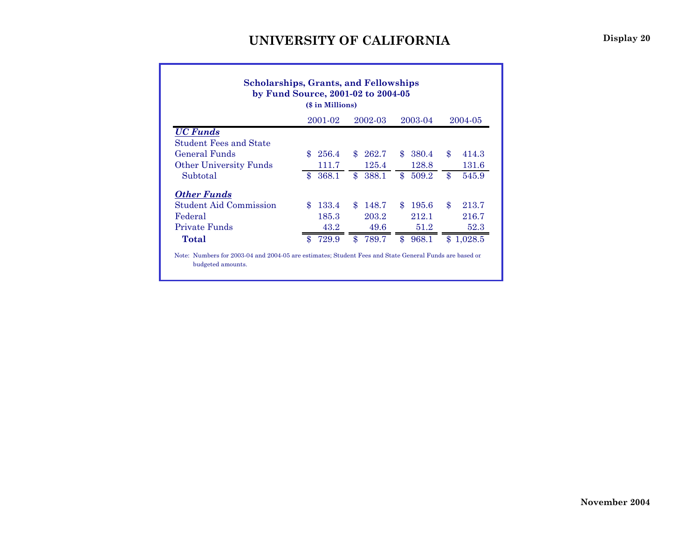| by Fund Source, 2001-02 to 2004-05<br>(\$ in Millions) |    |       |               |       |               |       |               |           |  |  |  |  |
|--------------------------------------------------------|----|-------|---------------|-------|---------------|-------|---------------|-----------|--|--|--|--|
| 2001-02<br>2002-03<br>2003-04<br>2004-05               |    |       |               |       |               |       |               |           |  |  |  |  |
| <b>UC</b> Funds                                        |    |       |               |       |               |       |               |           |  |  |  |  |
| <b>Student Fees and State</b>                          |    |       |               |       |               |       |               |           |  |  |  |  |
| General Funds                                          | £. | 256.4 | \$            | 262.7 | $\mathbf{\$}$ | 380.4 | \$            | 414.3     |  |  |  |  |
| <b>Other University Funds</b>                          |    | 111.7 |               | 125.4 |               | 128.8 |               | 131.6     |  |  |  |  |
| Subtotal                                               | \$ | 368.1 | $\mathbf{\$}$ | 388.1 | \$            | 509.2 | \$            | 545.9     |  |  |  |  |
| <b>Other Funds</b>                                     |    |       |               |       |               |       |               |           |  |  |  |  |
| <b>Student Aid Commission</b>                          | £. | 133.4 | $\mathbf{\$}$ | 148.7 | $\mathbf{\$}$ | 195.6 | $\mathbf{\$}$ | 213.7     |  |  |  |  |
| Federal                                                |    | 185.3 |               | 203.2 |               | 212.1 |               | 216.7     |  |  |  |  |
| Private Funds                                          |    | 43.2  |               | 49.6  |               | 51.2  |               | 52.3      |  |  |  |  |
| Total                                                  | \$ | 729.9 | $\mathbf{\$}$ | 789.7 | \$            | 968.1 |               | \$1,028.5 |  |  |  |  |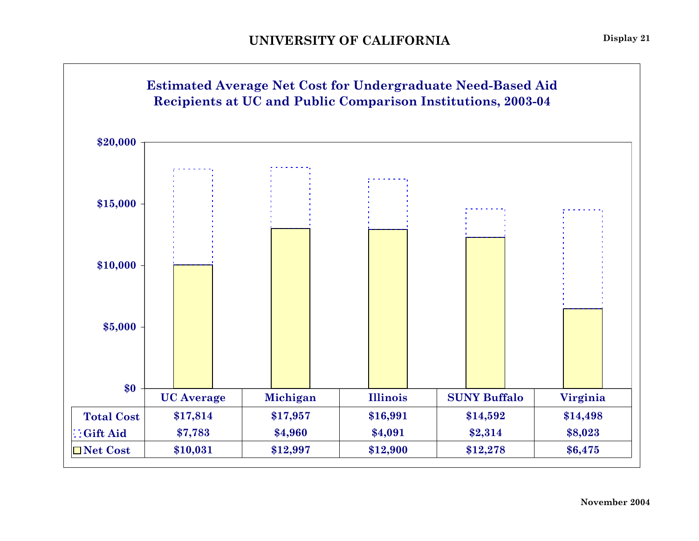![](_page_22_Figure_1.jpeg)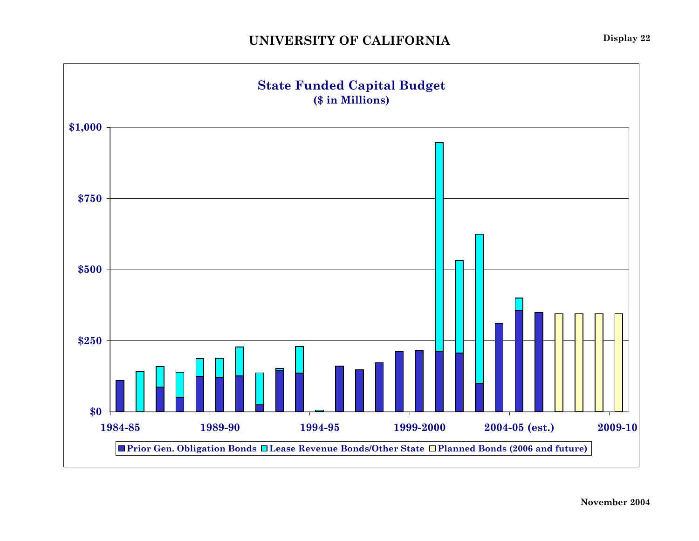![](_page_23_Figure_1.jpeg)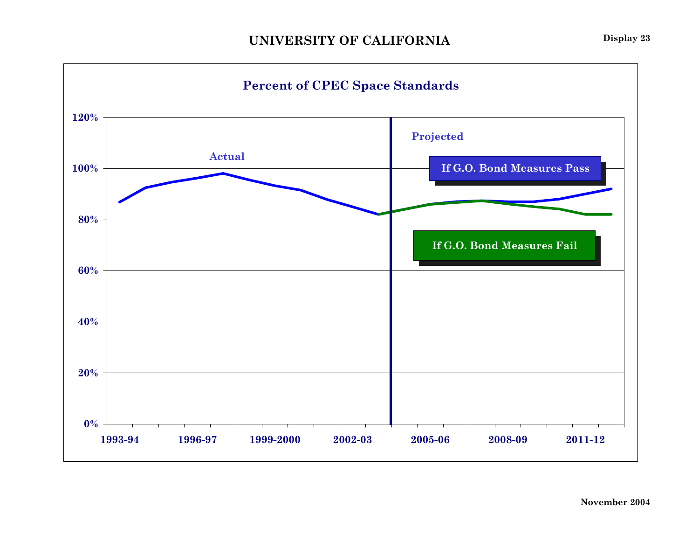![](_page_24_Figure_1.jpeg)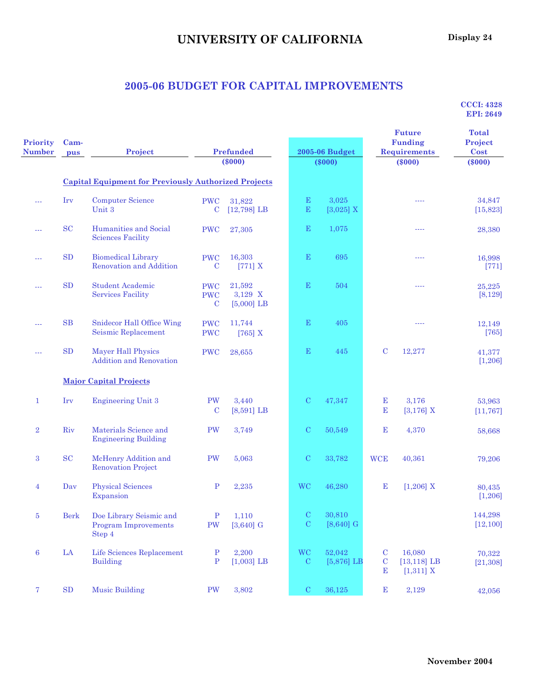## **UNIVERSITY OF CALIFORNIA** Display 24

### **2005-06 BUDGET FOR CAPITAL IMPROVEMENTS**

| Priority<br><b>Number</b> | Cam-<br>pus | Project                                                          |                                         | <b>Prefunded</b><br>$(\$000)$     |                            | <b>2005-06 Budget</b><br>$(\$000)$ |                                         | <b>Future</b><br><b>Funding</b><br><b>Requirements</b><br>$(\$000)$ | <b>Total</b><br>Project<br>Cost<br>$(\$000)$ |
|---------------------------|-------------|------------------------------------------------------------------|-----------------------------------------|-----------------------------------|----------------------------|------------------------------------|-----------------------------------------|---------------------------------------------------------------------|----------------------------------------------|
|                           |             | <b>Capital Equipment for Previously Authorized Projects</b>      |                                         |                                   |                            |                                    |                                         |                                                                     |                                              |
| $\sim$ $\sim$             | Irv         | <b>Computer Science</b><br>Unit 3                                | <b>PWC</b><br>$\mathbf C$               | 31,822<br>$[12,798]$ LB           | $\mathbf E$<br>$\mathbf E$ | 3,025<br>$[3,025]$ X               |                                         | ----                                                                | 34,847<br>[15, 823]                          |
| ---                       | <b>SC</b>   | Humanities and Social<br><b>Sciences Facility</b>                | <b>PWC</b>                              | 27,305                            | $\mathbf E$                | 1,075                              |                                         | ----                                                                | 28,380                                       |
| $- - -$                   | <b>SD</b>   | <b>Biomedical Library</b><br>Renovation and Addition             | <b>PWC</b><br>$\mathbf C$               | 16,303<br>$[771]$ X               | $\mathbf E$                | 695                                |                                         | ----                                                                | 16,998<br>$[771]$                            |
| $\sim$ $\sim$ $\sim$      | SD          | <b>Student Academic</b><br><b>Services Facility</b>              | <b>PWC</b><br><b>PWC</b><br>$\mathbf C$ | 21,592<br>3,129 X<br>$[5,000]$ LB | $\mathbf E$                | 504                                |                                         | $- - - -$                                                           | 25,225<br>[8, 129]                           |
| $- - -$                   | SB          | Snidecor Hall Office Wing<br>Seismic Replacement                 | <b>PWC</b><br><b>PWC</b>                | 11,744<br>[765] $X$               | $\mathbf E$                | 405                                |                                         | ----                                                                | 12,149<br>$[765]$                            |
| ---                       | SD          | <b>Mayer Hall Physics</b><br><b>Addition and Renovation</b>      | <b>PWC</b>                              | 28,655                            | $\mathbf E$                | 445                                | $\mathbf C$                             | 12,277                                                              | 41,377<br>[1, 206]                           |
|                           |             | <b>Major Capital Projects</b>                                    |                                         |                                   |                            |                                    |                                         |                                                                     |                                              |
| $\mathbf{1}$              | Irv         | <b>Engineering Unit 3</b>                                        | PW<br>$\mathbf C$                       | 3,440<br>$[8,591]$ LB             | $\mathcal{C}$              | 47,347                             | E<br>E                                  | 3,176<br>[3, 176] X                                                 | 53,963<br>[11, 767]                          |
| $\overline{2}$            | Riv         | Materials Science and<br><b>Engineering Building</b>             | PW                                      | 3,749                             | $\mathcal{C}$              | 50,549                             | $\mathbf E$                             | 4,370                                                               | 58,668                                       |
| 3                         | <b>SC</b>   | McHenry Addition and<br><b>Renovation Project</b>                | PW                                      | 5,063                             | $\mathbf C$                | 33,782                             | <b>WCE</b>                              | 40,361                                                              | 79,206                                       |
| $\overline{4}$            | Dav         | <b>Physical Sciences</b><br>Expansion                            | $\mathbf{P}$                            | 2,235                             | <b>WC</b>                  | 46,280                             | $\mathbf E$                             | $[1,206]$ X                                                         | 80,435<br>[1,206]                            |
| 5                         | Berk        | Doe Library Seismic and<br><b>Program Improvements</b><br>Step 4 | $\mathbf{P}$<br>PW                      | 1,110<br>$[3,640]$ G              | $\mathbf C$<br>$\mathbf C$ | 30,810<br>$[8,640]$ G              |                                         |                                                                     | 144,298<br>[12, 100]                         |
| $\boldsymbol{6}$          | $\rm{LA}$   | Life Sciences Replacement<br><b>Building</b>                     | $\mathbf{P}$<br>$\, {\bf P}$            | 2,200<br>$[1,003]$ LB             | <b>WC</b><br>${\bf C}$     | 52,042<br>$[5,876]$ LB             | ${\bf C}$<br>$\mathbf C$<br>$\mathbf E$ | 16,080<br>$[13, 118]$ LB<br>$[1,311]$ X                             | 70,322<br>[21, 308]                          |
| 7 <sup>1</sup>            | ${\rm SD}$  | <b>Music Building</b>                                            | PW                                      | 3,802                             | ${\bf C}$                  | 36,125                             | $\mathbf E$                             | 2,129                                                               | 42,056                                       |

**CCCI: 4328 EPI: 2649**